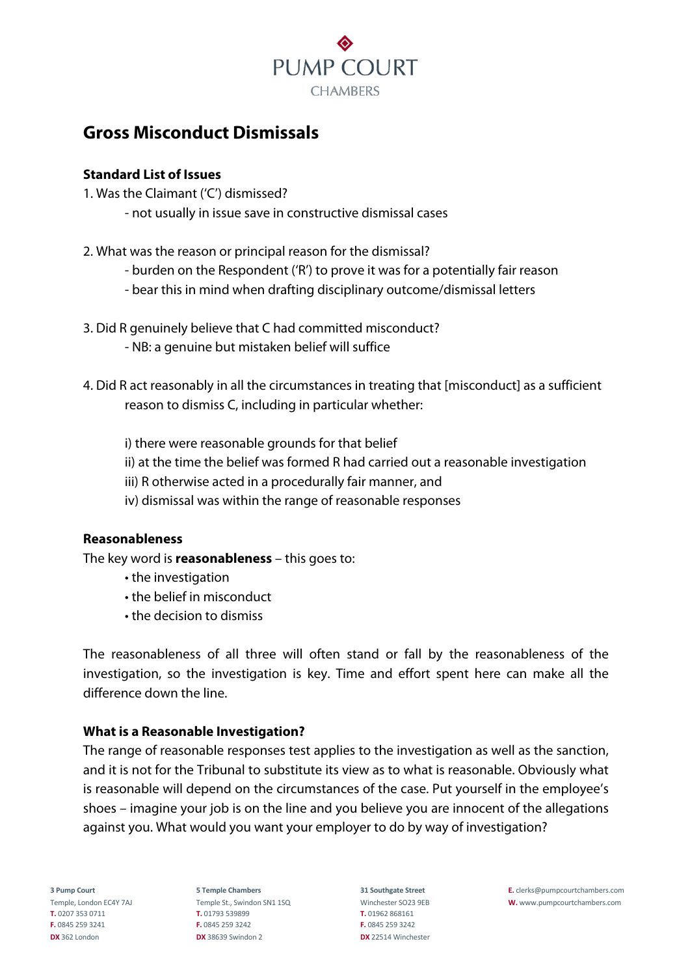

# **Gross Misconduct Dismissals**

## **Standard List of Issues**

- 1. Was the Claimant ('C') dismissed?
	- not usually in issue save in constructive dismissal cases
- 2. What was the reason or principal reason for the dismissal?
	- burden on the Respondent ('R') to prove it was for a potentially fair reason
	- bear this in mind when drafting disciplinary outcome/dismissal letters
- 3. Did R genuinely believe that C had committed misconduct?
	- NB: a genuine but mistaken belief will suffice
- 4. Did R act reasonably in all the circumstances in treating that [misconduct] as a sufficient reason to dismiss C, including in particular whether:
	- i) there were reasonable grounds for that belief
	- ii) at the time the belief was formed R had carried out a reasonable investigation
	- iii) R otherwise acted in a procedurally fair manner, and
	- iv) dismissal was within the range of reasonable responses

## **Reasonableness**

The key word is **reasonableness** – this goes to:

- the investigation
- the belief in misconduct
- the decision to dismiss

The reasonableness of all three will often stand or fall by the reasonableness of the investigation, so the investigation is key. Time and effort spent here can make all the difference down the line.

## **What is a Reasonable Investigation?**

The range of reasonable responses test applies to the investigation as well as the sanction, and it is not for the Tribunal to substitute its view as to what is reasonable. Obviously what is reasonable will depend on the circumstances of the case. Put yourself in the employee's shoes – imagine your job is on the line and you believe you are innocent of the allegations against you. What would you want your employer to do by way of investigation?

**T.** 0207 353 0711 **T.** 01793 539899 **T.** 01962 868161 **F.** 0845 259 3241 **F.** 0845 259 3242 **F.** 0845 259 3242 **DX** 362 London **DX** 38639 Swindon 2 **DX** 22514 Winchester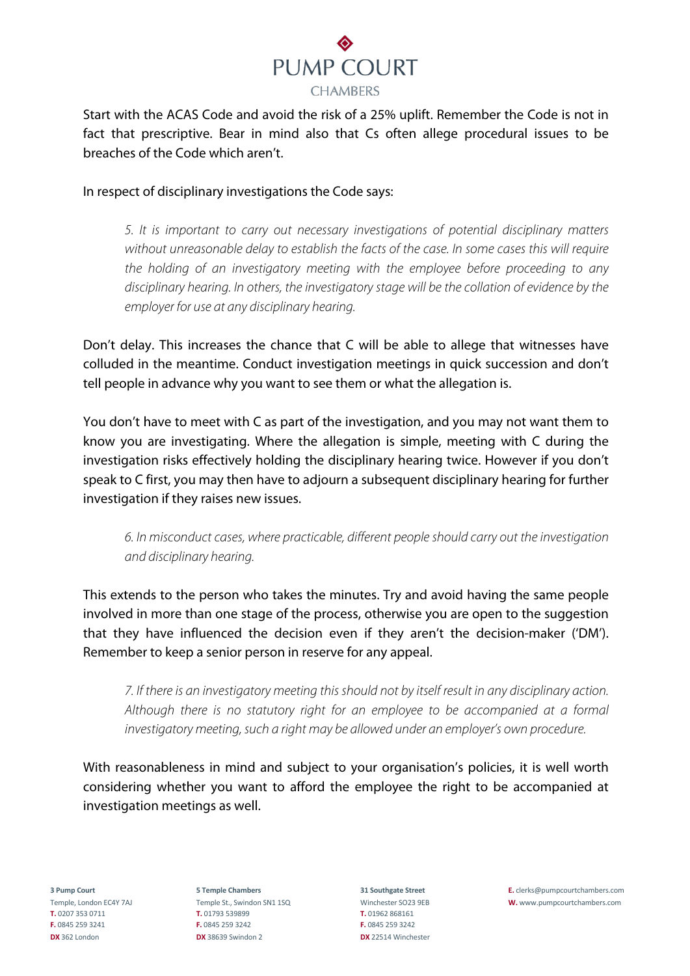

Start with the ACAS Code and avoid the risk of a 25% uplift. Remember the Code is not in fact that prescriptive. Bear in mind also that Cs often allege procedural issues to be breaches of the Code which aren't.

In respect of disciplinary investigations the Code says:

*5. It is important to carry out necessary investigations of potential disciplinary matters without unreasonable delay to establish the facts of the case. In some cases this will require the holding of an investigatory meeting with the employee before proceeding to any disciplinary hearing. In others, the investigatory stage will be the collation of evidence by the employer for use at any disciplinary hearing.*

Don't delay. This increases the chance that C will be able to allege that witnesses have colluded in the meantime. Conduct investigation meetings in quick succession and don't tell people in advance why you want to see them or what the allegation is.

You don't have to meet with C as part of the investigation, and you may not want them to know you are investigating. Where the allegation is simple, meeting with C during the investigation risks effectively holding the disciplinary hearing twice. However if you don't speak to C first, you may then have to adjourn a subsequent disciplinary hearing for further investigation if they raises new issues.

*6. In misconduct cases, where practicable, different people should carry out the investigation and disciplinary hearing.*

This extends to the person who takes the minutes. Try and avoid having the same people involved in more than one stage of the process, otherwise you are open to the suggestion that they have influenced the decision even if they aren't the decision-maker ('DM'). Remember to keep a senior person in reserve for any appeal.

*7. If there is an investigatory meeting this should not by itself result in any disciplinary action. Although there is no statutory right for an employee to be accompanied at a formal investigatory meeting, such a right may be allowed under an employer's own procedure.*

With reasonableness in mind and subiect to your organisation's policies, it is well worth considering whether you want to afford the employee the right to be accompanied at investigation meetings as well.

**T.** 0207 353 0711 **T.** 01793 539899 **T.** 01962 868161 **F.** 0845 259 3241 **F.** 0845 259 3242 **F.** 0845 259 3242 **DX** 362 London **DX** 38639 Swindon 2 **DX** 22514 Winchester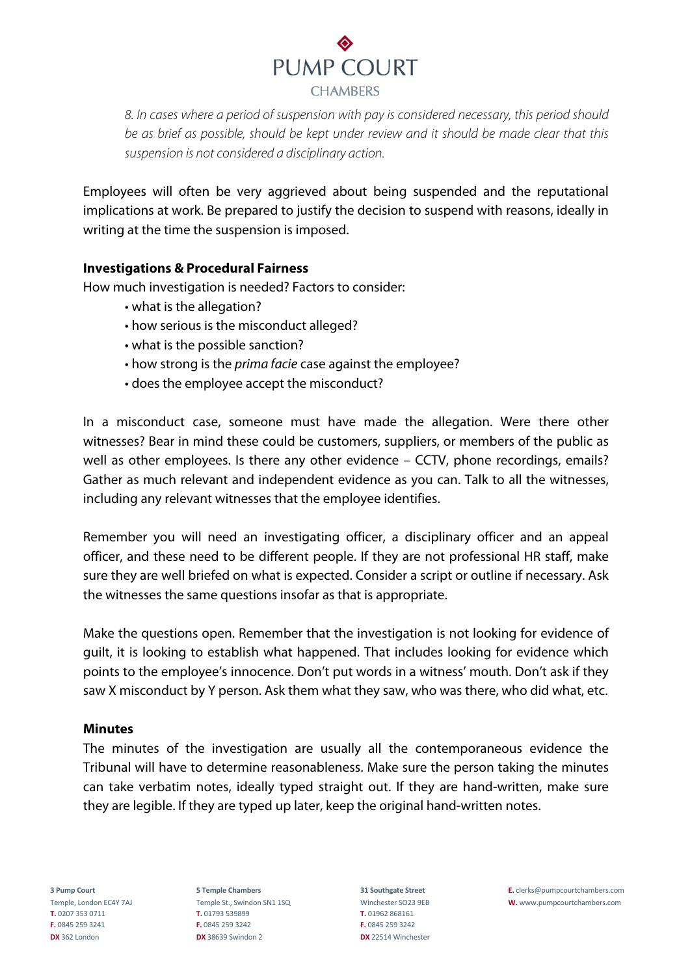

*8. In cases where a period of suspension with pay is considered necessary, this period should be as brief as possible, should be kept under review and it should be made clear that this suspension is not considered a disciplinary action.*

Employees will often be very aggrieved about being suspended and the reputational implications at work. Be prepared to justify the decision to suspend with reasons, ideally in writing at the time the suspension is imposed.

## **Investigations & Procedural Fairness**

How much investigation is needed? Factors to consider:

- what is the allegation?
- how serious is the misconduct alleged?
- what is the possible sanction?
- how strong is the *prima facie* case against the employee?
- does the employee accept the misconduct?

In a misconduct case, someone must have made the allegation. Were there other witnesses? Bear in mind these could be customers, suppliers, or members of the public as well as other employees. Is there any other evidence – CCTV, phone recordings, emails? Gather as much relevant and independent evidence as you can. Talk to all the witnesses, including any relevant witnesses that the employee identifies.

Remember you will need an investigating officer, a disciplinary officer and an appeal officer, and these need to be different people. If they are not professional HR staff, make sure they are well briefed on what is expected. Consider a script or outline if necessary. Ask the witnesses the same questions insofar as that is appropriate.

Make the questions open. Remember that the investigation is not looking for evidence of guilt, it is looking to establish what happened. That includes looking for evidence which points to the employee's innocence. Don't put words in a witness' mouth. Don't ask if they saw X misconduct by Y person. Ask them what they saw, who was there, who did what, etc.

#### **Minutes**

The minutes of the investigation are usually all the contemporaneous evidence the Tribunal will have to determine reasonableness. Make sure the person taking the minutes can take verbatim notes, ideally typed straight out. If they are hand-written, make sure they are legible. If they are typed up later, keep the original hand-written notes.

**T.** 0207 353 0711 **T.** 01793 539899 **T.** 01962 868161 **F.** 0845 259 3241 **F.** 0845 259 3242 **F.** 0845 259 3242 **DX** 362 London **DX** 38639 Swindon 2 **DX** 22514 Winchester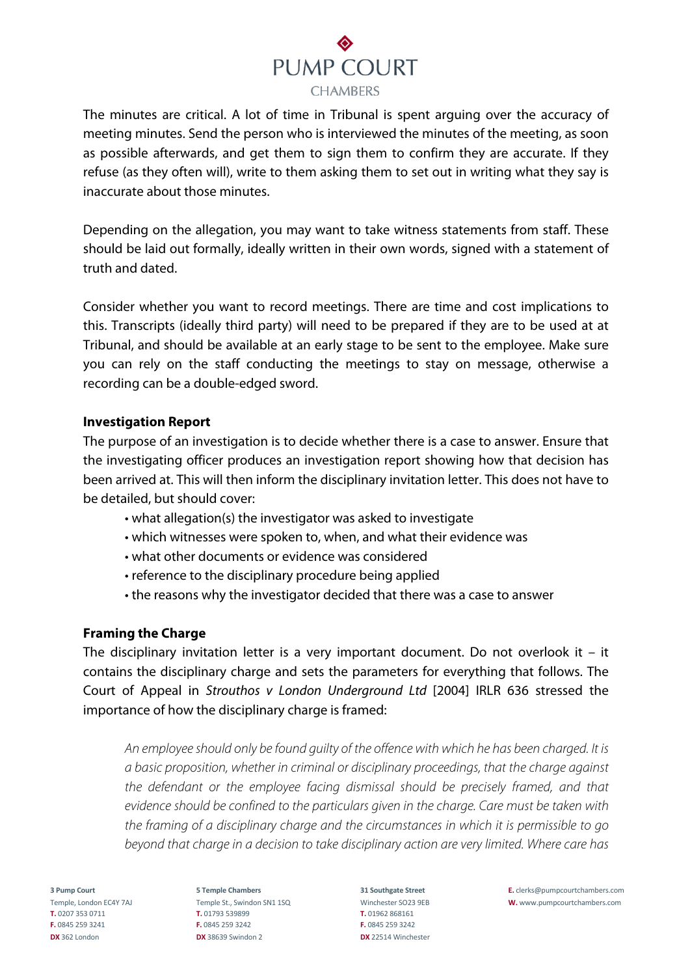

The minutes are critical. A lot of time in Tribunal is spent arguing over the accuracy of meeting minutes. Send the person who is interviewed the minutes of the meeting, as soon as possible afterwards, and get them to sign them to confirm they are accurate. If they refuse (as they often will), write to them asking them to set out in writing what they say is inaccurate about those minutes.

Depending on the allegation, you may want to take witness statements from staff. These should be laid out formally, ideally written in their own words, signed with a statement of truth and dated.

Consider whether you want to record meetings. There are time and cost implications to this. Transcripts (ideally third party) will need to be prepared if they are to be used at at Tribunal, and should be available at an early stage to be sent to the employee. Make sure you can rely on the staff conducting the meetings to stay on message, otherwise a recording can be a double-edged sword.

#### **Investigation Report**

The purpose of an investigation is to decide whether there is a case to answer. Ensure that the investigating officer produces an investigation report showing how that decision has been arrived at. This will then inform the disciplinary invitation letter. This does not have to be detailed, but should cover:

- what allegation(s) the investigator was asked to investigate
- which witnesses were spoken to, when, and what their evidence was
- what other documents or evidence was considered
- reference to the disciplinary procedure being applied
- the reasons why the investigator decided that there was a case to answer

#### **Framing the Charge**

The disciplinary invitation letter is a very important document. Do not overlook it  $-$  it contains the disciplinary charge and sets the parameters for everything that follows. The Court of Appeal in *Strouthos v London Underground Ltd* [2004] IRLR 636 stressed the importance of how the disciplinary charge is framed:

*An employee should only be found guilty of the offence with which he has been charged. It is a basic proposition, whether in criminal or disciplinary proceedings, that the charge against the defendant or the employee facing dismissal should be precisely framed, and that evidence should be confined to the particulars given in the charge. Care must be taken with the framing of a disciplinary charge and the circumstances in which it is permissible to go beyond that charge in a decision to take disciplinary action are very limited. Where care has* 

**T.** 0207 353 0711 **T.** 01793 539899 **T.** 01962 868161 **F.** 0845 259 3241 **F.** 0845 259 3242 **F.** 0845 259 3242 **DX** 362 London **DX** 38639 Swindon 2 **DX** 22514 Winchester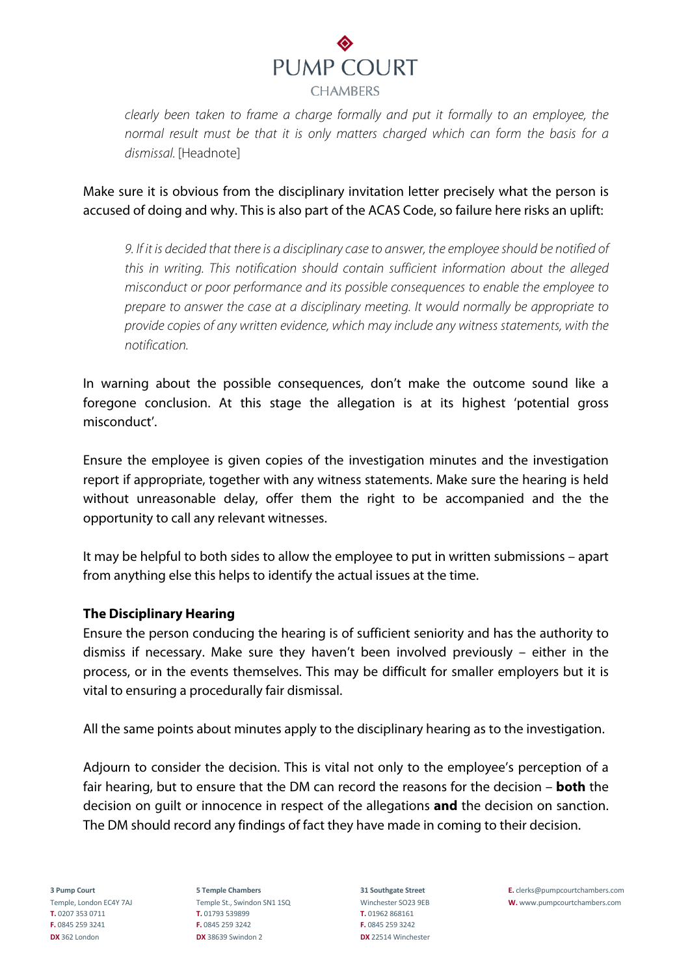

*clearly been taken to frame a charge formally and put it formally to an employee, the normal result must be that it is only matters charged which can form the basis for a dismissal.* [Headnote]

Make sure it is obvious from the disciplinary invitation letter precisely what the person is accused of doing and why. This is also part of the ACAS Code, so failure here risks an uplift:

*9. If it is decided that there is a disciplinary case to answer, the employee should be notified of this in writing. This notification should contain sufficient information about the alleged misconduct or poor performance and its possible consequences to enable the employee to prepare to answer the case at a disciplinary meeting. It would normally be appropriate to provide copies of any written evidence, which may include any witness statements, with the notification.*

In warning about the possible consequences, don't make the outcome sound like a foregone conclusion. At this stage the allegation is at its highest 'potential gross misconduct'.

Ensure the employee is given copies of the investigation minutes and the investigation report if appropriate, together with any witness statements. Make sure the hearing is held without unreasonable delay, offer them the right to be accompanied and the the opportunity to call any relevant witnesses.

It may be helpful to both sides to allow the employee to put in written submissions – apart from anything else this helps to identify the actual issues at the time.

## **The Disciplinary Hearing**

Ensure the person conducing the hearing is of sufficient seniority and has the authority to dismiss if necessary. Make sure they haven't been involved previously – either in the process, or in the events themselves. This may be difficult for smaller employers but it is vital to ensuring a procedurally fair dismissal.

All the same points about minutes apply to the disciplinary hearing as to the investigation.

Adjourn to consider the decision. This is vital not only to the employee's perception of a fair hearing, but to ensure that the DM can record the reasons for the decision – **both** the decision on guilt or innocence in respect of the allegations **and** the decision on sanction. The DM should record any findings of fact they have made in coming to their decision.

**T.** 0207 353 0711 **T.** 01793 539899 **T.** 01962 868161 **F.** 0845 259 3241 **F.** 0845 259 3242 **F.** 0845 259 3242 **DX** 362 London **DX** 38639 Swindon 2 **DX** 22514 Winchester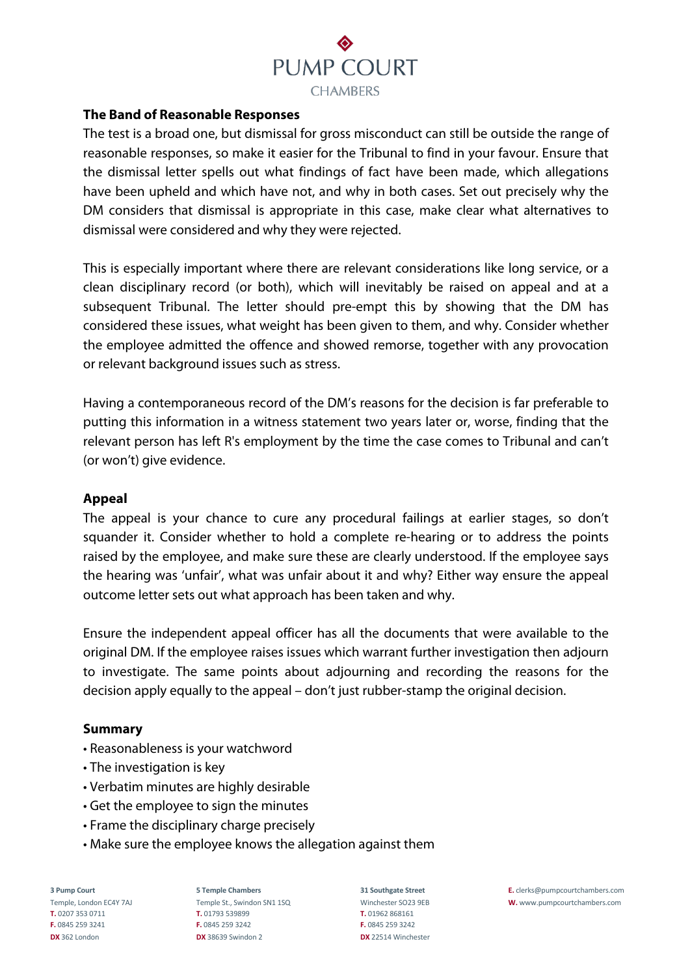

### **The Band of Reasonable Responses**

The test is a broad one, but dismissal for gross misconduct can still be outside the range of reasonable responses, so make it easier for the Tribunal to find in your favour. Ensure that the dismissal letter spells out what findings of fact have been made, which allegations have been upheld and which have not, and why in both cases. Set out precisely why the DM considers that dismissal is appropriate in this case, make clear what alternatives to dismissal were considered and why they were rejected.

This is especially important where there are relevant considerations like long service, or a clean disciplinary record (or both), which will inevitably be raised on appeal and at a subsequent Tribunal. The letter should pre-empt this by showing that the DM has considered these issues, what weight has been given to them, and why. Consider whether the employee admitted the offence and showed remorse, together with any provocation or relevant background issues such as stress.

Having a contemporaneous record of the DM's reasons for the decision is far preferable to putting this information in a witness statement two years later or, worse, finding that the relevant person has left R's employment by the time the case comes to Tribunal and can't (or won't) give evidence.

#### **Appeal**

The appeal is your chance to cure any procedural failings at earlier stages, so don't squander it. Consider whether to hold a complete re-hearing or to address the points raised by the employee, and make sure these are clearly understood. If the employee says the hearing was 'unfair', what was unfair about it and why? Either way ensure the appeal outcome letter sets out what approach has been taken and why.

Ensure the independent appeal officer has all the documents that were available to the original DM. If the employee raises issues which warrant further investigation then adjourn to investigate. The same points about adjourning and recording the reasons for the decision apply equally to the appeal – don't just rubber-stamp the original decision.

#### **Summary**

- Reasonableness is your watchword
- The investigation is key
- Verbatim minutes are highly desirable
- Get the employee to sign the minutes
- Frame the disciplinary charge precisely
- Make sure the employee knows the allegation against them

**T.** 0207 353 0711 **T.** 01793 539899 **T.** 01962 868161 **F.** 0845 259 3241 **F.** 0845 259 3242 **F.** 0845 259 3242 **DX** 362 London **DX** 38639 Swindon 2 **DX** 22514 Winchester